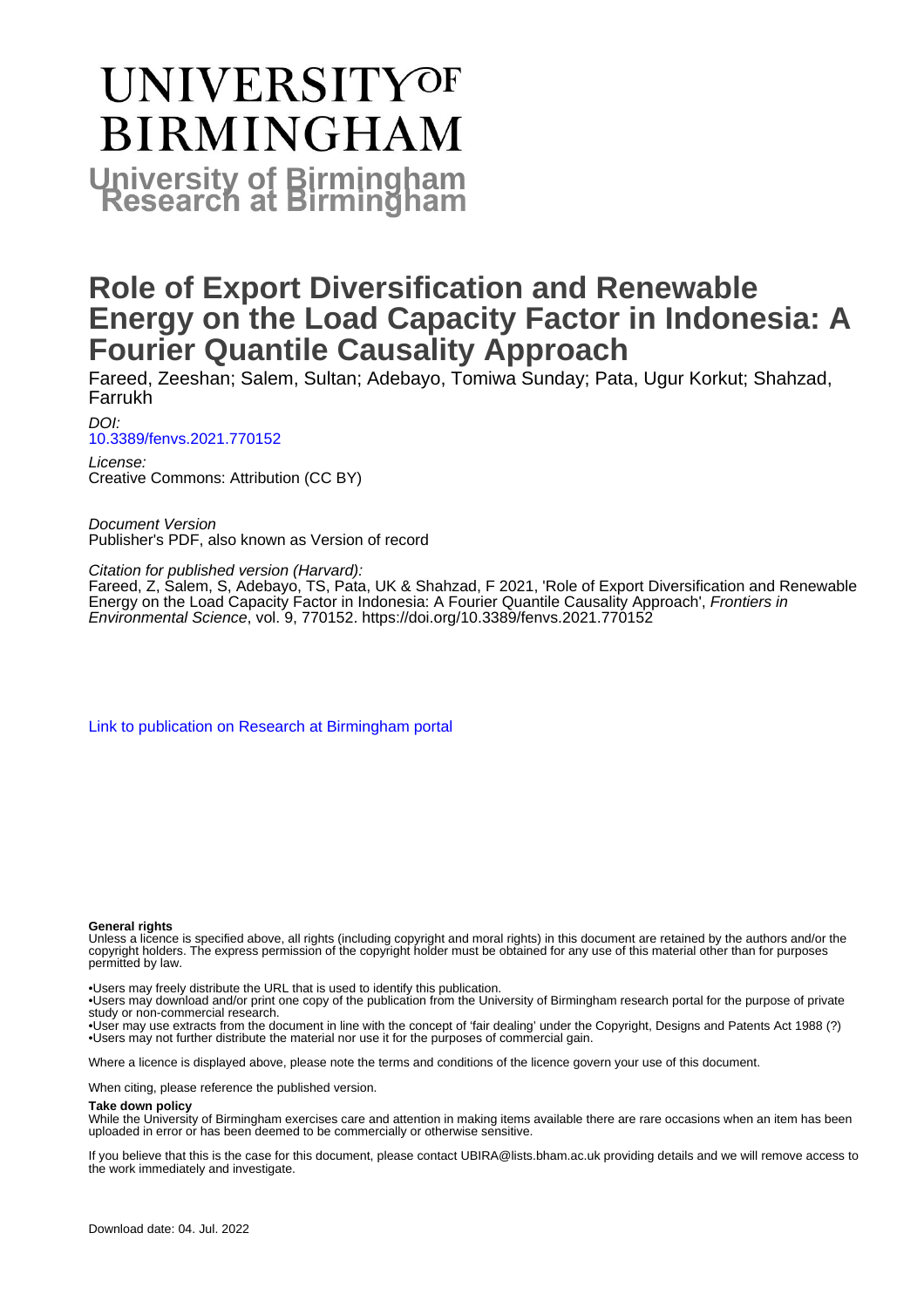# **UNIVERSITYOF BIRMINGHAM University of Birmingham**

## **Role of Export Diversification and Renewable Energy on the Load Capacity Factor in Indonesia: A Fourier Quantile Causality Approach**

Fareed, Zeeshan; Salem, Sultan; Adebayo, Tomiwa Sunday; Pata, Ugur Korkut; Shahzad, Farrukh

DOI: [10.3389/fenvs.2021.770152](https://doi.org/10.3389/fenvs.2021.770152)

License: Creative Commons: Attribution (CC BY)

Document Version Publisher's PDF, also known as Version of record

Citation for published version (Harvard):

Fareed, Z, Salem, S, Adebayo, TS, Pata, UK & Shahzad, F 2021, 'Role of Export Diversification and Renewable Energy on the Load Capacity Factor in Indonesia: A Fourier Quantile Causality Approach', Frontiers in Environmental Science, vol. 9, 770152.<https://doi.org/10.3389/fenvs.2021.770152>

[Link to publication on Research at Birmingham portal](https://birmingham.elsevierpure.com/en/publications/e0fb83b1-4c7d-4215-a9e6-d0926a9c68e6)

#### **General rights**

Unless a licence is specified above, all rights (including copyright and moral rights) in this document are retained by the authors and/or the copyright holders. The express permission of the copyright holder must be obtained for any use of this material other than for purposes permitted by law.

• Users may freely distribute the URL that is used to identify this publication.

• Users may download and/or print one copy of the publication from the University of Birmingham research portal for the purpose of private study or non-commercial research.

• User may use extracts from the document in line with the concept of 'fair dealing' under the Copyright, Designs and Patents Act 1988 (?) • Users may not further distribute the material nor use it for the purposes of commercial gain.

Where a licence is displayed above, please note the terms and conditions of the licence govern your use of this document.

When citing, please reference the published version.

#### **Take down policy**

While the University of Birmingham exercises care and attention in making items available there are rare occasions when an item has been uploaded in error or has been deemed to be commercially or otherwise sensitive.

If you believe that this is the case for this document, please contact UBIRA@lists.bham.ac.uk providing details and we will remove access to the work immediately and investigate.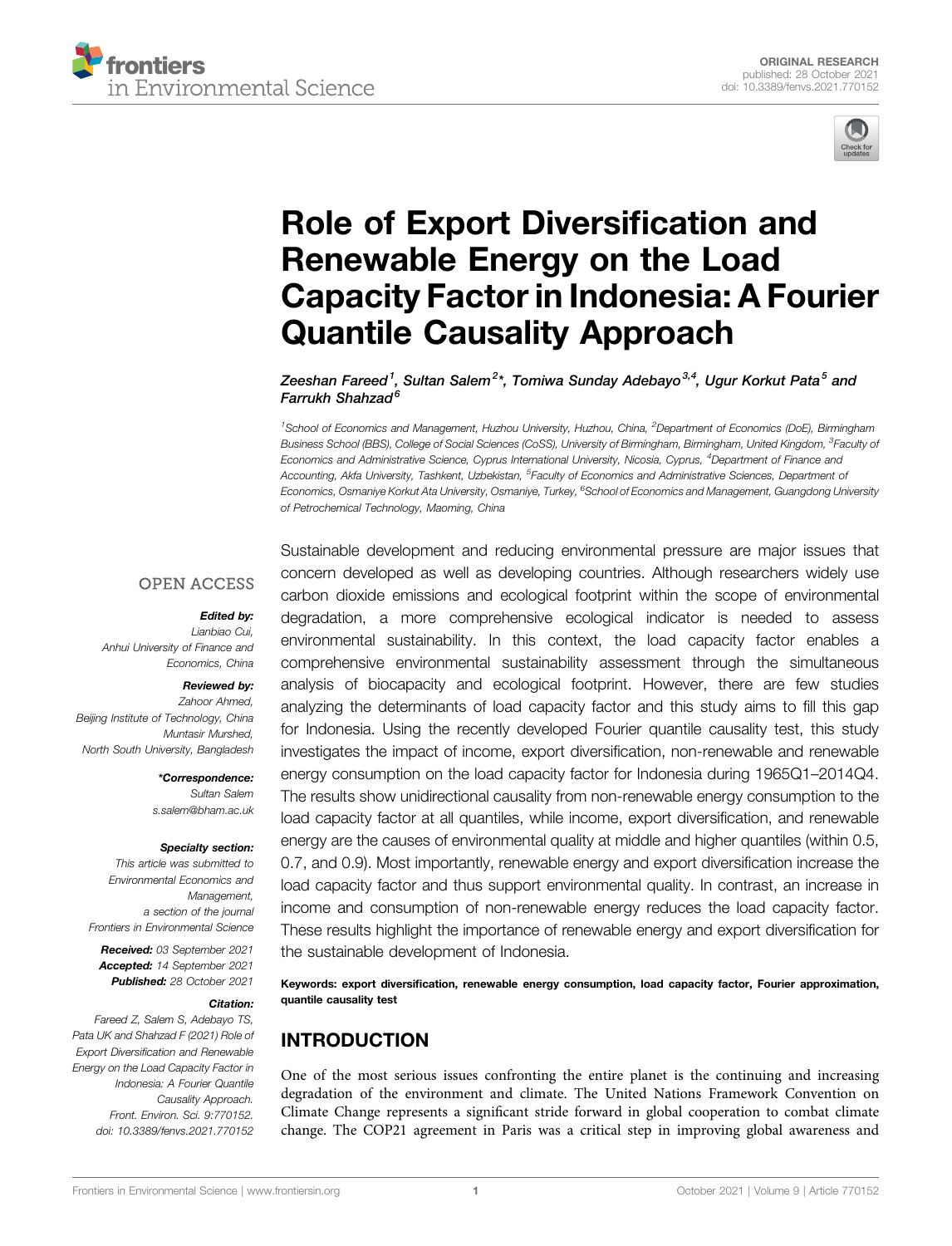



## [Role of Export Diversi](https://www.frontiersin.org/articles/10.3389/fenvs.2021.770152/full)fication and [Renewable Energy on the Load](https://www.frontiersin.org/articles/10.3389/fenvs.2021.770152/full) [Capacity Factor in Indonesia: A Fourier](https://www.frontiersin.org/articles/10.3389/fenvs.2021.770152/full) [Quantile Causality Approach](https://www.frontiersin.org/articles/10.3389/fenvs.2021.770152/full)

Zeeshan Fareed<sup>1</sup>, Sultan Salem<sup>2</sup>\*, Tomiwa Sunday Adebayo<sup>3,4</sup>, Ugur Korkut Pata<sup>5</sup> and Farrukh Shahzad<sup>6</sup>

<sup>1</sup>School of Economics and Management, Huzhou University, Huzhou, China, <sup>2</sup>Department of Economics (DoE), Birmingham Business School (BBS), College of Social Sciences (CoSS), University of Birmingham, Birmingham, United Kingdom, <sup>3</sup>Faculty oi Economics and Administrative Science, Cyprus International University, Nicosia, Cyprus, <sup>4</sup>Department of Finance and Accounting, Akfa University, Tashkent, Uzbekistan, <sup>5</sup>Faculty of Economics and Administrative Sciences, Department oi Economics, Osmaniye Korkut Ata University, Osmaniye, Turkey, <sup>6</sup>School of Economics and Management, Guangdong University of Petrochemical Technology, Maoming, China

### **OPEN ACCESS**

#### Edited by:

Lianbiao Cui, Anhui University of Finance and Economics, China

#### Reviewed by:

Zahoor Ahmed, Beijing Institute of Technology, China Muntasir Murshed, North South University, Bangladesh

> \*Correspondence: Sultan Salem [s.salem@bham.ac.uk](mailto:s.salem@bham.ac.uk)

#### Specialty section:

This article was submitted to Environmental Economics and Management, a section of the journal Frontiers in Environmental Science

Received: 03 September 2021 Accepted: 14 September 2021 Published: 28 October 2021

#### Citation:

Fareed Z, Salem S, Adebayo TS, Pata UK and Shahzad F (2021) Role of Export Diversification and Renewable Energy on the Load Capacity Factor in Indonesia: A Fourier Quantile Causality Approach. Front. Environ. Sci. 9:770152. doi: [10.3389/fenvs.2021.770152](https://doi.org/10.3389/fenvs.2021.770152)

Sustainable development and reducing environmental pressure are major issues that concern developed as well as developing countries. Although researchers widely use carbon dioxide emissions and ecological footprint within the scope of environmental degradation, a more comprehensive ecological indicator is needed to assess environmental sustainability. In this context, the load capacity factor enables a comprehensive environmental sustainability assessment through the simultaneous analysis of biocapacity and ecological footprint. However, there are few studies analyzing the determinants of load capacity factor and this study aims to fill this gap for Indonesia. Using the recently developed Fourier quantile causality test, this study investigates the impact of income, export diversification, non-renewable and renewable energy consumption on the load capacity factor for Indonesia during 1965Q1–2014Q4. The results show unidirectional causality from non-renewable energy consumption to the load capacity factor at all quantiles, while income, export diversification, and renewable energy are the causes of environmental quality at middle and higher quantiles (within 0.5, 0.7, and 0.9). Most importantly, renewable energy and export diversification increase the load capacity factor and thus support environmental quality. In contrast, an increase in income and consumption of non-renewable energy reduces the load capacity factor. These results highlight the importance of renewable energy and export diversification for the sustainable development of Indonesia.

Keywords: export diversification, renewable energy consumption, load capacity factor, Fourier approximation, quantile causality test

## INTRODUCTION

One of the most serious issues confronting the entire planet is the continuing and increasing degradation of the environment and climate. The United Nations Framework Convention on Climate Change represents a significant stride forward in global cooperation to combat climate change. The COP21 agreement in Paris was a critical step in improving global awareness and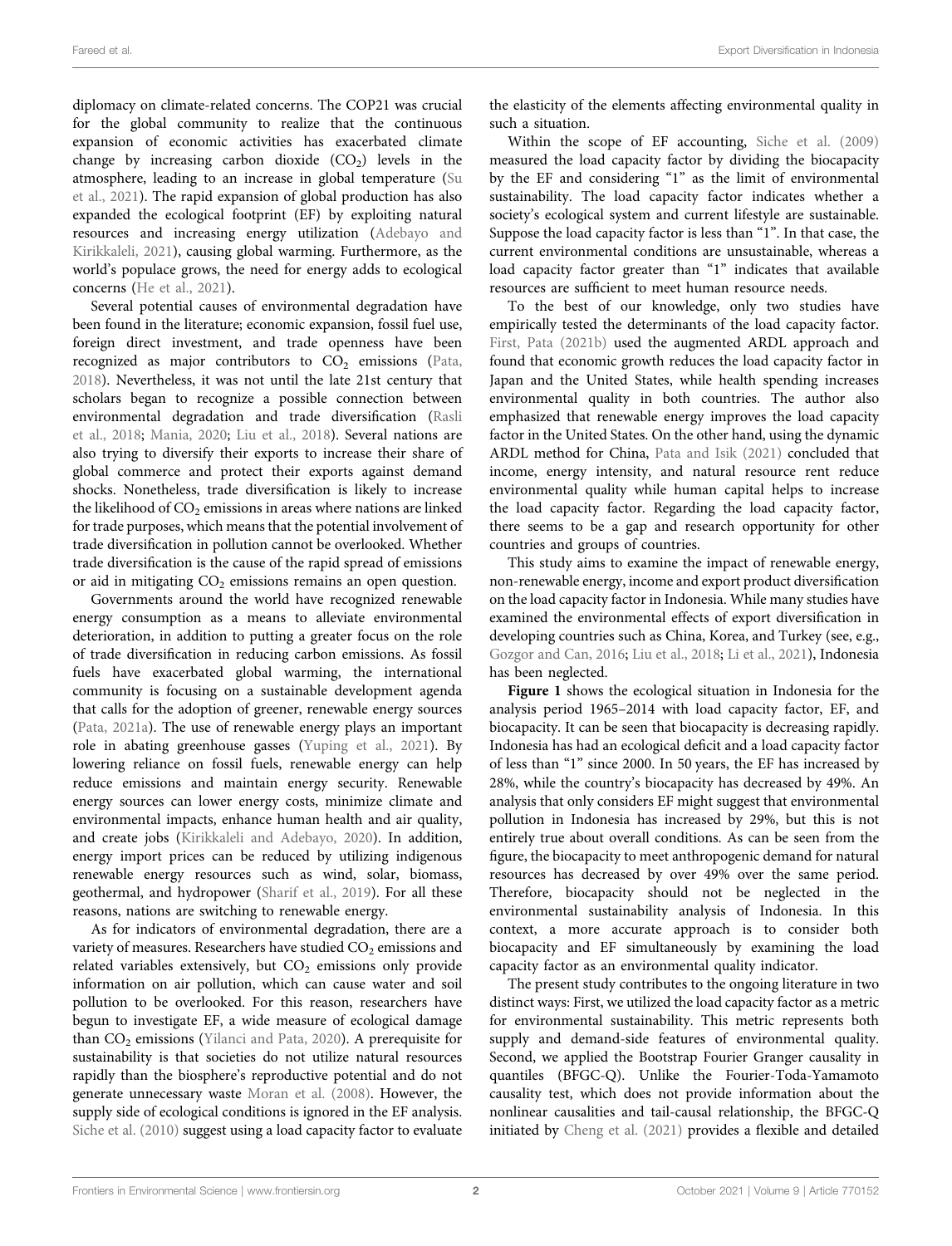diplomacy on climate-related concerns. The COP21 was crucial for the global community to realize that the continuous expansion of economic activities has exacerbated climate change by increasing carbon dioxide  $(CO<sub>2</sub>)$  levels in the atmosphere, leading to an increase in global temperature ([Su](#page-8-0) [et al., 2021](#page-8-0)). The rapid expansion of global production has also expanded the ecological footprint (EF) by exploiting natural resources and increasing energy utilization ([Adebayo and](#page-7-0) [Kirikkaleli, 2021\)](#page-7-0), causing global warming. Furthermore, as the world's populace grows, the need for energy adds to ecological concerns [\(He et al., 2021\)](#page-8-1).

Several potential causes of environmental degradation have been found in the literature; economic expansion, fossil fuel use, foreign direct investment, and trade openness have been recognized as major contributors to  $CO<sub>2</sub>$  emissions ([Pata,](#page-8-2) [2018](#page-8-2)). Nevertheless, it was not until the late 21st century that scholars began to recognize a possible connection between environmental degradation and trade diversification ([Rasli](#page-8-3) [et al., 2018](#page-8-3); [Mania, 2020](#page-8-4); [Liu et al., 2018\)](#page-8-5). Several nations are also trying to diversify their exports to increase their share of global commerce and protect their exports against demand shocks. Nonetheless, trade diversification is likely to increase the likelihood of  $CO<sub>2</sub>$  emissions in areas where nations are linked for trade purposes, which means that the potential involvement of trade diversification in pollution cannot be overlooked. Whether trade diversification is the cause of the rapid spread of emissions or aid in mitigating  $CO<sub>2</sub>$  emissions remains an open question.

Governments around the world have recognized renewable energy consumption as a means to alleviate environmental deterioration, in addition to putting a greater focus on the role of trade diversification in reducing carbon emissions. As fossil fuels have exacerbated global warming, the international community is focusing on a sustainable development agenda that calls for the adoption of greener, renewable energy sources ([Pata, 2021a\)](#page-8-6). The use of renewable energy plays an important role in abating greenhouse gasses ([Yuping et al., 2021\)](#page-9-0). By lowering reliance on fossil fuels, renewable energy can help reduce emissions and maintain energy security. Renewable energy sources can lower energy costs, minimize climate and environmental impacts, enhance human health and air quality, and create jobs [\(Kirikkaleli and Adebayo, 2020](#page-8-7)). In addition, energy import prices can be reduced by utilizing indigenous renewable energy resources such as wind, solar, biomass, geothermal, and hydropower ([Sharif et al., 2019](#page-8-8)). For all these reasons, nations are switching to renewable energy.

As for indicators of environmental degradation, there are a variety of measures. Researchers have studied CO<sub>2</sub> emissions and related variables extensively, but  $CO<sub>2</sub>$  emissions only provide information on air pollution, which can cause water and soil pollution to be overlooked. For this reason, researchers have begun to investigate EF, a wide measure of ecological damage than  $CO<sub>2</sub>$  emissions ([Yilanci and Pata, 2020](#page-9-1)). A prerequisite for sustainability is that societies do not utilize natural resources rapidly than the biosphere's reproductive potential and do not generate unnecessary waste [Moran et al. \(2008\).](#page-8-9) However, the supply side of ecological conditions is ignored in the EF analysis. [Siche et al. \(2010\)](#page-8-10) suggest using a load capacity factor to evaluate

the elasticity of the elements affecting environmental quality in such a situation.

Within the scope of EF accounting, [Siche et al. \(2009\)](#page-8-10) measured the load capacity factor by dividing the biocapacity by the EF and considering "1" as the limit of environmental sustainability. The load capacity factor indicates whether a society's ecological system and current lifestyle are sustainable. Suppose the load capacity factor is less than "1". In that case, the current environmental conditions are unsustainable, whereas a load capacity factor greater than "1" indicates that available resources are sufficient to meet human resource needs.

To the best of our knowledge, only two studies have empirically tested the determinants of the load capacity factor. [First, Pata \(2021b\)](#page-8-11) used the augmented ARDL approach and found that economic growth reduces the load capacity factor in Japan and the United States, while health spending increases environmental quality in both countries. The author also emphasized that renewable energy improves the load capacity factor in the United States. On the other hand, using the dynamic ARDL method for China, [Pata and Isik \(2021\)](#page-8-12) concluded that income, energy intensity, and natural resource rent reduce environmental quality while human capital helps to increase the load capacity factor. Regarding the load capacity factor, there seems to be a gap and research opportunity for other countries and groups of countries.

This study aims to examine the impact of renewable energy, non-renewable energy, income and export product diversification on the load capacity factor in Indonesia. While many studies have examined the environmental effects of export diversification in developing countries such as China, Korea, and Turkey (see, e.g., [Gozgor and Can, 2016](#page-8-13); [Liu et al., 2018;](#page-8-5) [Li et al., 2021](#page-8-14)), Indonesia has been neglected.

[Figure 1](#page-3-0) shows the ecological situation in Indonesia for the analysis period 1965–2014 with load capacity factor, EF, and biocapacity. It can be seen that biocapacity is decreasing rapidly. Indonesia has had an ecological deficit and a load capacity factor of less than "1" since 2000. In 50 years, the EF has increased by 28%, while the country's biocapacity has decreased by 49%. An analysis that only considers EF might suggest that environmental pollution in Indonesia has increased by 29%, but this is not entirely true about overall conditions. As can be seen from the figure, the biocapacity to meet anthropogenic demand for natural resources has decreased by over 49% over the same period. Therefore, biocapacity should not be neglected in the environmental sustainability analysis of Indonesia. In this context, a more accurate approach is to consider both biocapacity and EF simultaneously by examining the load capacity factor as an environmental quality indicator.

The present study contributes to the ongoing literature in two distinct ways: First, we utilized the load capacity factor as a metric for environmental sustainability. This metric represents both supply and demand-side features of environmental quality. Second, we applied the Bootstrap Fourier Granger causality in quantiles (BFGC-Q). Unlike the Fourier-Toda-Yamamoto causality test, which does not provide information about the nonlinear causalities and tail-causal relationship, the BFGC-Q initiated by [Cheng et al. \(2021\)](#page-7-1) provides a flexible and detailed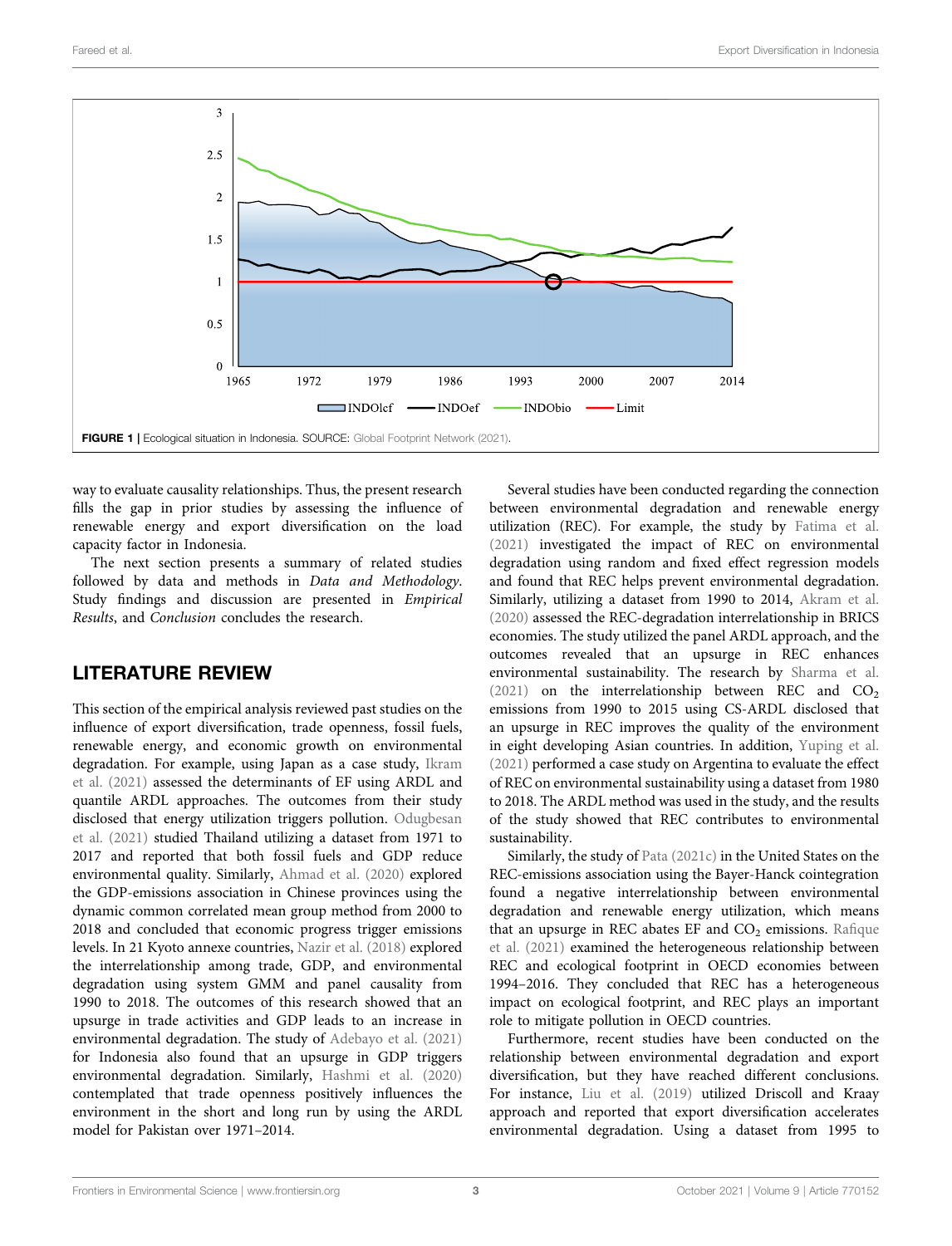

<span id="page-3-0"></span>way to evaluate causality relationships. Thus, the present research fills the gap in prior studies by assessing the influence of renewable energy and export diversification on the load capacity factor in Indonesia.

The next section presents a summary of related studies followed by data and methods in Data and Methodology. Study findings and discussion are presented in Empirical Results, and Conclusion concludes the research.

## LITERATURE REVIEW

This section of the empirical analysis reviewed past studies on the influence of export diversification, trade openness, fossil fuels, renewable energy, and economic growth on environmental degradation. For example, using Japan as a case study, [Ikram](#page-8-15) [et al. \(2021\)](#page-8-15) assessed the determinants of EF using ARDL and quantile ARDL approaches. The outcomes from their study disclosed that energy utilization triggers pollution. [Odugbesan](#page-8-16) [et al. \(2021\)](#page-8-16) studied Thailand utilizing a dataset from 1971 to 2017 and reported that both fossil fuels and GDP reduce environmental quality. Similarly, [Ahmad et al. \(2020\)](#page-7-2) explored the GDP-emissions association in Chinese provinces using the dynamic common correlated mean group method from 2000 to 2018 and concluded that economic progress trigger emissions levels. In 21 Kyoto annexe countries, [Nazir et al. \(2018\)](#page-8-17) explored the interrelationship among trade, GDP, and environmental degradation using system GMM and panel causality from 1990 to 2018. The outcomes of this research showed that an upsurge in trade activities and GDP leads to an increase in environmental degradation. The study of [Adebayo et al. \(2021\)](#page-7-3) for Indonesia also found that an upsurge in GDP triggers environmental degradation. Similarly, [Hashmi et al. \(2020\)](#page-8-18) contemplated that trade openness positively influences the environment in the short and long run by using the ARDL model for Pakistan over 1971–2014.

Several studies have been conducted regarding the connection between environmental degradation and renewable energy utilization (REC). For example, the study by [Fatima et al.](#page-7-4) [\(2021\)](#page-7-4) investigated the impact of REC on environmental degradation using random and fixed effect regression models and found that REC helps prevent environmental degradation. Similarly, utilizing a dataset from 1990 to 2014, [Akram et al.](#page-7-5) [\(2020\)](#page-7-5) assessed the REC-degradation interrelationship in BRICS economies. The study utilized the panel ARDL approach, and the outcomes revealed that an upsurge in REC enhances environmental sustainability. The research by [Sharma et al.](#page-8-19)  $(2021)$  on the interrelationship between REC and  $CO<sub>2</sub>$ emissions from 1990 to 2015 using CS-ARDL disclosed that an upsurge in REC improves the quality of the environment in eight developing Asian countries. In addition, [Yuping et al.](#page-9-0) [\(2021\)](#page-9-0) performed a case study on Argentina to evaluate the effect of REC on environmental sustainability using a dataset from 1980 to 2018. The ARDL method was used in the study, and the results of the study showed that REC contributes to environmental sustainability.

Similarly, the study of [Pata \(2021c\)](#page-8-20) in the United States on the REC-emissions association using the Bayer-Hanck cointegration found a negative interrelationship between environmental degradation and renewable energy utilization, which means that an upsurge in REC abates EF and  $CO<sub>2</sub>$  emissions. Rafi[que](#page-8-21) [et al. \(2021\)](#page-8-21) examined the heterogeneous relationship between REC and ecological footprint in OECD economies between 1994–2016. They concluded that REC has a heterogeneous impact on ecological footprint, and REC plays an important role to mitigate pollution in OECD countries.

Furthermore, recent studies have been conducted on the relationship between environmental degradation and export diversification, but they have reached different conclusions. For instance, [Liu et al. \(2019\)](#page-8-22) utilized Driscoll and Kraay approach and reported that export diversification accelerates environmental degradation. Using a dataset from 1995 to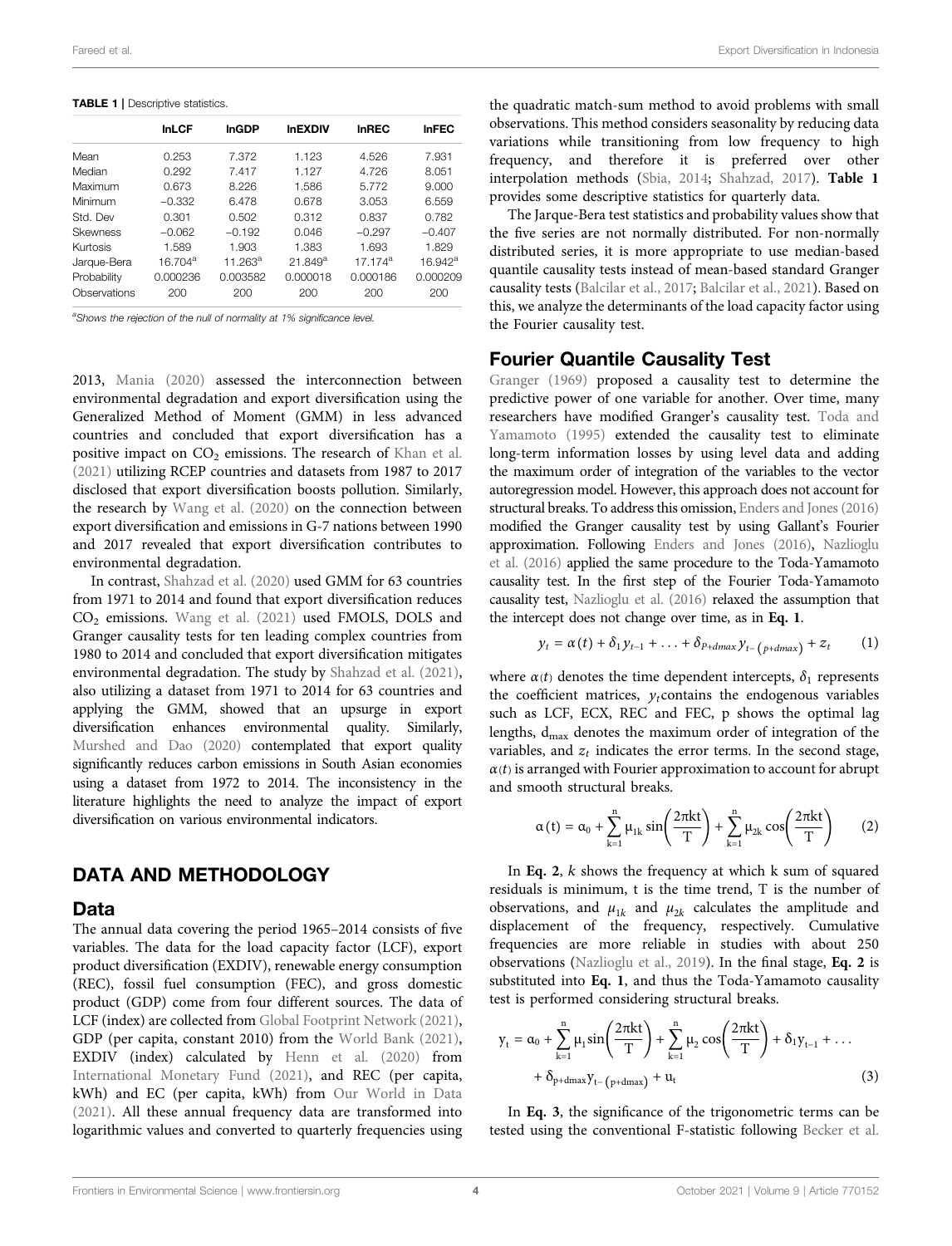<span id="page-4-0"></span>TABLE 1 | Descriptive statistics.

|              | <b>InLCF</b>        | <b>InGDP</b> | <b>InEXDIV</b> | <b>InREC</b> | <b>InFEC</b> |
|--------------|---------------------|--------------|----------------|--------------|--------------|
| Mean         | 0.253               | 7.372        | 1.123          | 4.526        | 7.931        |
| Median       | 0.292               | 7.417        | 1.127          | 4.726        | 8.051        |
| Maximum      | 0.673               | 8.226        | 1.586          | 5.772        | 9.000        |
| Minimum      | $-0.332$            | 6.478        | 0.678          | 3.053        | 6.559        |
| Std. Dev     | 0.301               | 0.502        | 0.312          | 0.837        | 0.782        |
| Skewness     | $-0.062$            | $-0.192$     | 0.046          | $-0.297$     | $-0.407$     |
| Kurtosis     | 1.589               | 1.903        | 1.383          | 1.693        | 1.829        |
| Jarque-Bera  | 16 704 <sup>a</sup> | $11.263^a$   | $21.849^a$     | 17 174 $a$   | $16.942^a$   |
| Probability  | 0.000236            | 0.003582     | 0.000018       | 0.000186     | 0.000209     |
| Observations | 200                 | 200          | 200            | 200          | 200          |
|              |                     |              |                |              |              |

<sup>a</sup>Shows the rejection of the null of normality at 1% significance level.

2013, [Mania \(2020\)](#page-8-4) assessed the interconnection between environmental degradation and export diversification using the Generalized Method of Moment (GMM) in less advanced countries and concluded that export diversification has a positive impact on  $CO<sub>2</sub>$  emissions. The research of [Khan et al.](#page-8-24) [\(2021\)](#page-8-24) utilizing RCEP countries and datasets from 1987 to 2017 disclosed that export diversification boosts pollution. Similarly, the research by [Wang et al. \(2020\)](#page-9-2) on the connection between export diversification and emissions in G-7 nations between 1990 and 2017 revealed that export diversification contributes to environmental degradation.

In contrast, [Shahzad et al. \(2020\)](#page-8-25) used GMM for 63 countries from 1971 to 2014 and found that export diversification reduces CO<sub>2</sub> emissions. [Wang et al. \(2021\)](#page-9-3) used FMOLS, DOLS and Granger causality tests for ten leading complex countries from 1980 to 2014 and concluded that export diversification mitigates environmental degradation. The study by [Shahzad et al. \(2021\)](#page-8-26), also utilizing a dataset from 1971 to 2014 for 63 countries and applying the GMM, showed that an upsurge in export diversification enhances environmental quality. Similarly, [Murshed and Dao \(2020\)](#page-8-27) contemplated that export quality significantly reduces carbon emissions in South Asian economies using a dataset from 1972 to 2014. The inconsistency in the literature highlights the need to analyze the impact of export diversification on various environmental indicators.

## DATA AND METHODOLOGY

### Data

The annual data covering the period 1965–2014 consists of five variables. The data for the load capacity factor (LCF), export product diversification (EXDIV), renewable energy consumption (REC), fossil fuel consumption (FEC), and gross domestic product (GDP) come from four different sources. The data of LCF (index) are collected from [Global Footprint Network \(2021\)](#page-8-23), GDP (per capita, constant 2010) from the [World Bank \(2021\)](#page-9-4), EXDIV (index) calculated by [Henn et al. \(2020\)](#page-8-28) from [International Monetary Fund \(2021\)](#page-8-29), and REC (per capita, kWh) and EC (per capita, kWh) from [Our World in Data](#page-8-30) [\(2021\)](#page-8-30). All these annual frequency data are transformed into logarithmic values and converted to quarterly frequencies using the quadratic match-sum method to avoid problems with small observations. This method considers seasonality by reducing data variations while transitioning from low frequency to high frequency, and therefore it is preferred over other interpolation methods ([Sbia, 2014;](#page-8-31) [Shahzad, 2017](#page-8-32)). [Table 1](#page-4-0) provides some descriptive statistics for quarterly data.

The Jarque-Bera test statistics and probability values show that the five series are not normally distributed. For non-normally distributed series, it is more appropriate to use median-based quantile causality tests instead of mean-based standard Granger causality tests ([Balcilar et al., 2017;](#page-7-6) [Balcilar et al., 2021](#page-7-7)). Based on this, we analyze the determinants of the load capacity factor using the Fourier causality test.

## Fourier Quantile Causality Test

[Granger \(1969\)](#page-8-33) proposed a causality test to determine the predictive power of one variable for another. Over time, many researchers have modified Granger's causality test. [Toda and](#page-8-34) [Yamamoto \(1995\)](#page-8-34) extended the causality test to eliminate long-term information losses by using level data and adding the maximum order of integration of the variables to the vector autoregression model. However, this approach does not account for structural breaks. To address this omission, [Enders and Jones \(2016\)](#page-7-8) modified the Granger causality test by using Gallant's Fourier approximation. Following [Enders and Jones \(2016\),](#page-7-8) [Nazlioglu](#page-8-35) [et al. \(2016\)](#page-8-35) applied the same procedure to the Toda-Yamamoto causality test. In the first step of the Fourier Toda-Yamamoto causality test, [Nazlioglu et al. \(2016\)](#page-8-35) relaxed the assumption that the intercept does not change over time, as in [Eq. 1](#page-4-1).

<span id="page-4-1"></span>
$$
y_t = \alpha(t) + \delta_1 y_{t-1} + \ldots + \delta_{P+dmax} y_{t-(P+dmax)} + z_t \qquad (1)
$$

where  $\alpha(t)$  denotes the time dependent intercepts,  $\delta_1$  represents the coefficient matrices,  $y_t$ contains the endogenous variables such as LCF, ECX, REC and FEC, p shows the optimal lag lengths,  $d_{\text{max}}$  denotes the maximum order of integration of the variables, and  $z_t$  indicates the error terms. In the second stage,  $\alpha(t)$  is arranged with Fourier approximation to account for abrupt and smooth structural breaks.

<span id="page-4-2"></span>
$$
\alpha(t) = \alpha_0 + \sum_{k=1}^{n} \mu_{1k} \sin\left(\frac{2\pi kt}{T}\right) + \sum_{k=1}^{n} \mu_{2k} \cos\left(\frac{2\pi kt}{T}\right) \tag{2}
$$

In [Eq. 2](#page-4-2),  $k$  shows the frequency at which  $k$  sum of squared residuals is minimum, t is the time trend, T is the number of observations, and  $\mu_{1k}$  and  $\mu_{2k}$  calculates the amplitude and displacement of the frequency, respectively. Cumulative frequencies are more reliable in studies with about 250 observations ([Nazlioglu et al., 2019](#page-8-36)). In the final stage, [Eq. 2](#page-4-2) is substituted into [Eq. 1](#page-4-1), and thus the Toda-Yamamoto causality test is performed considering structural breaks.

<span id="page-4-3"></span>
$$
y_{t} = \alpha_{0} + \sum_{k=1}^{n} \mu_{1} \sin\left(\frac{2\pi k t}{T}\right) + \sum_{k=1}^{n} \mu_{2} \cos\left(\frac{2\pi k t}{T}\right) + \delta_{1} y_{t-1} + \dots
$$
  
+  $\delta_{p+\text{dmax}} y_{t-(p+\text{dmax})} + u_{t}$  (3)

In [Eq. 3](#page-4-3), the significance of the trigonometric terms can be tested using the conventional F-statistic following [Becker et al.](#page-7-9)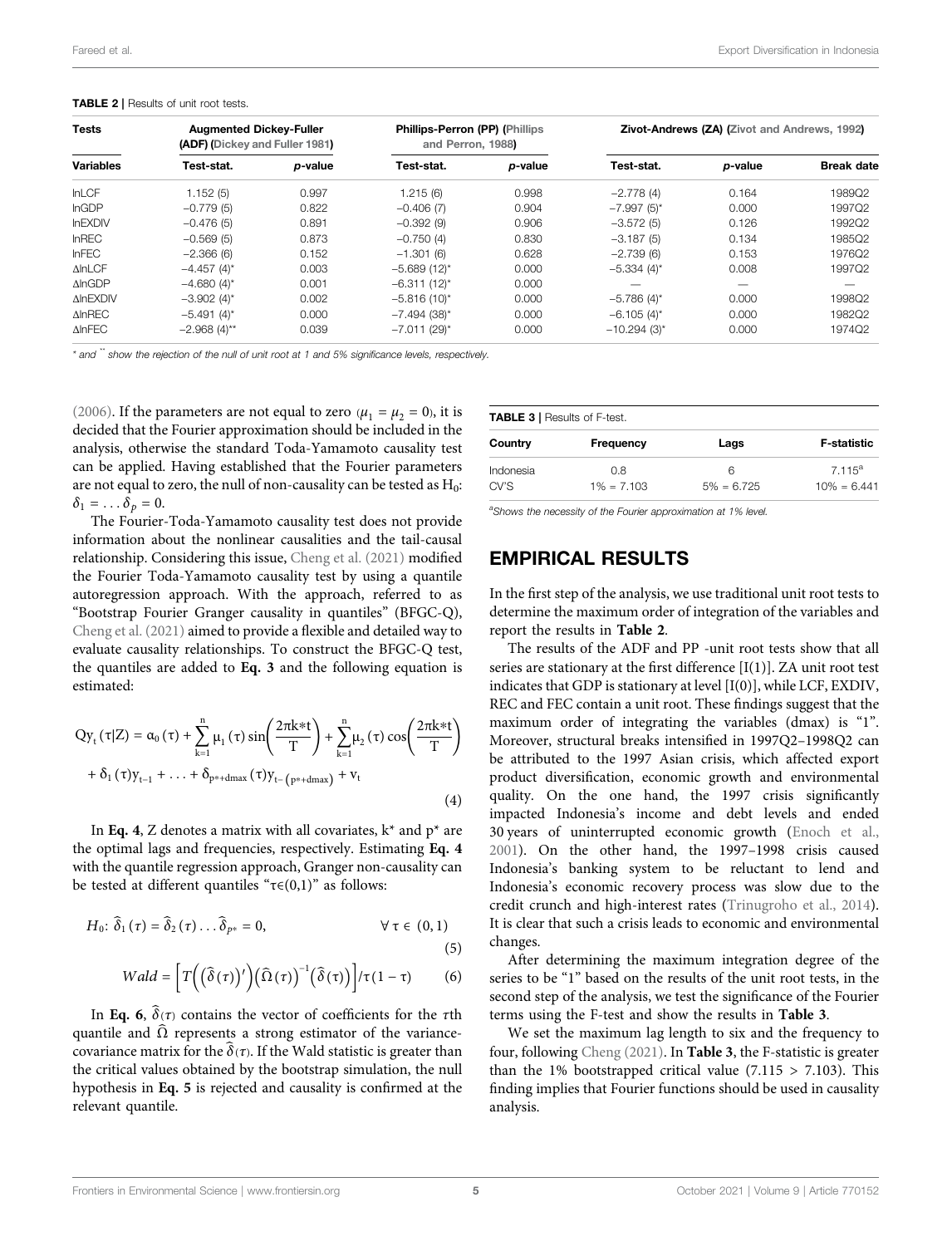#### <span id="page-5-3"></span>TABLE 2 | Results of unit root tests.

| <b>Tests</b><br><b>Variables</b> | <b>Augmented Dickey-Fuller</b><br>(ADF) (Dickey and Fuller 1981) |         | <b>Phillips-Perron (PP) (Phillips</b><br>and Perron, 1988) |                 | <b>Zivot-Andrews (ZA) (Zivot and Andrews, 1992)</b> |         |                   |
|----------------------------------|------------------------------------------------------------------|---------|------------------------------------------------------------|-----------------|-----------------------------------------------------|---------|-------------------|
|                                  | Test-stat.                                                       | p-value | Test-stat.                                                 | <i>p</i> -value | Test-stat.                                          | p-value | <b>Break date</b> |
| <b>InLCF</b>                     | 1.152(5)                                                         | 0.997   | 1.215 (6)                                                  | 0.998           | $-2.778(4)$                                         | 0.164   | 1989Q2            |
| <b>InGDP</b>                     | $-0.779(5)$                                                      | 0.822   | $-0.406(7)$                                                | 0.904           | $-7.997(5)$ *                                       | 0.000   | 1997Q2            |
| <b>InEXDIV</b>                   | $-0.476(5)$                                                      | 0.891   | $-0.392(9)$                                                | 0.906           | $-3.572(5)$                                         | 0.126   | 1992Q2            |
| <b>InREC</b>                     | $-0.569(5)$                                                      | 0.873   | $-0.750(4)$                                                | 0.830           | $-3.187(5)$                                         | 0.134   | 1985Q2            |
| <b>InFEC</b>                     | $-2.366(6)$                                                      | 0.152   | $-1.301(6)$                                                | 0.628           | $-2.739(6)$                                         | 0.153   | 1976Q2            |
| <b>AInLCF</b>                    | $-4.457(4)$ *                                                    | 0.003   | $-5.689(12)^{*}$                                           | 0.000           | $-5.334(4)$ *                                       | 0.008   | 1997Q2            |
| $\triangle InGDP$                | $-4.680(4)$ *                                                    | 0.001   | $-6.311(12)^{*}$                                           | 0.000           | —                                                   | –       |                   |
| <b>AInEXDIV</b>                  | $-3.902(4)$ *                                                    | 0.002   | $-5.816(10)^{*}$                                           | 0.000           | $-5.786(4)$ *                                       | 0.000   | 1998Q2            |
| $\triangle$ InREC                | $-5.491(4)^{*}$                                                  | 0.000   | $-7.494$ (38)*                                             | 0.000           | $-6.105(4)$ *                                       | 0.000   | 1982Q2            |
| <b>AINFEC</b>                    | $-2.968(4)$ **                                                   | 0.039   | $-7.011(29)$ *                                             | 0.000           | $-10.294(3)$ *                                      | 0.000   | 1974Q2            |

\* and \*\* show the rejection of the null of unit root at 1 and 5% significance levels, respectively.

[\(2006\)](#page-7-9). If the parameters are not equal to zero  $(\mu_1 = \mu_2 = 0)$ , it is decided that the Fourier approximation should be included in the analysis, otherwise the standard Toda-Yamamoto causality test can be applied. Having established that the Fourier parameters are not equal to zero, the null of non-causality can be tested as  $H_0$ :  $\delta_1 = \ldots \delta_p = 0.$ 

The Fourier-Toda-Yamamoto causality test does not provide information about the nonlinear causalities and the tail-causal relationship. Considering this issue, [Cheng et al. \(2021\)](#page-7-1) modified the Fourier Toda-Yamamoto causality test by using a quantile autoregression approach. With the approach, referred to as "Bootstrap Fourier Granger causality in quantiles" (BFGC-Q), [Cheng et al. \(2021\)](#page-7-1) aimed to provide a flexible and detailed way to evaluate causality relationships. To construct the BFGC-Q test, the quantiles are added to [Eq. 3](#page-4-3) and the following equation is estimated:

<span id="page-5-0"></span>
$$
Qy_t(\tau|Z) = \alpha_0(\tau) + \sum_{k=1}^n \mu_1(\tau) \sin\left(\frac{2\pi k * t}{T}\right) + \sum_{k=1}^n \mu_2(\tau) \cos\left(\frac{2\pi k * t}{T}\right) + \delta_1(\tau) y_{t-1} + \dots + \delta_{p*+dmax}(\tau) y_{t-(p*+dmax)} + v_t
$$
\n(4)

<span id="page-5-2"></span>In [Eq. 4](#page-5-0), Z denotes a matrix with all covariates,  $k^*$  and  $p^*$  are the optimal lags and frequencies, respectively. Estimating [Eq. 4](#page-5-0) with the quantile regression approach, Granger non-causality can be tested at different quantiles " $\tau \in (0,1)$ " as follows:

<span id="page-5-1"></span>
$$
H_0: \widehat{\delta}_1(\tau) = \widehat{\delta}_2(\tau) \ldots \widehat{\delta}_{p^*} = 0, \qquad \forall \tau \in (0,1)
$$

$$
\begin{aligned} \n\mathbf{r} \cdot \mathbf{r} &= \left[ \frac{1}{T} \left( \left( \hat{\mathbf{x}}_{\ell}(\mathbf{x}) \right)^{\ell} \right) \left( \hat{\mathbf{x}}_{\ell}(\mathbf{x}) \right)^{-1} \left( \hat{\mathbf{x}}_{\ell}(\mathbf{x}) \right) \right] \mathbf{x}_{\ell} \cdot \mathbf{r} \tag{6} \n\end{aligned}
$$

$$
Wald = \left[ T\left( \left( \widehat{\delta}(\tau) \right)^{\prime} \right) \left( \widehat{\Omega}(\tau) \right)^{-1} \left( \widehat{\delta}(\tau) \right) \middle| / \tau (1 - \tau) \right] \tag{6}
$$

In [Eq. 6](#page-5-1),  $\delta(\tau)$  contains the vector of coefficients for the  $\tau$ th quantile and  $\Omega$  represents a strong estimator of the variancecovariance matrix for the  $\delta(\tau)$ . If the Wald statistic is greater than the critical values obtained by the bootstrap simulation, the null hypothesis in [Eq. 5](#page-5-2) is rejected and causality is confirmed at the relevant quantile.

<span id="page-5-4"></span>TABLE 3 | Results of F-test.

| Country           | Frequency            | Lags               | <b>F</b> -statistic        |
|-------------------|----------------------|--------------------|----------------------------|
| Indonesia<br>CV'S | 0.8<br>$1\% = 7.103$ | 6<br>$5\% = 6.725$ | $7115^a$<br>$10\% = 6.441$ |

<sup>a</sup>Shows the necessity of the Fourier approximation at 1% level.

## EMPIRICAL RESULTS

In the first step of the analysis, we use traditional unit root tests to determine the maximum order of integration of the variables and report the results in [Table 2](#page-5-3).

The results of the ADF and PP -unit root tests show that all series are stationary at the first difference  $[I(1)]$ . ZA unit root test indicates that GDP is stationary at level [I(0)], while LCF, EXDIV, REC and FEC contain a unit root. These findings suggest that the maximum order of integrating the variables (dmax) is "1". Moreover, structural breaks intensified in 1997Q2–1998Q2 can be attributed to the 1997 Asian crisis, which affected export product diversification, economic growth and environmental quality. On the one hand, the 1997 crisis significantly impacted Indonesia's income and debt levels and ended 30 years of uninterrupted economic growth ([Enoch et al.,](#page-7-10) [2001](#page-7-10)). On the other hand, the 1997–1998 crisis caused Indonesia's banking system to be reluctant to lend and Indonesia's economic recovery process was slow due to the credit crunch and high-interest rates ([Trinugroho et al., 2014\)](#page-9-5). It is clear that such a crisis leads to economic and environmental changes.

After determining the maximum integration degree of the series to be "1" based on the results of the unit root tests, in the second step of the analysis, we test the significance of the Fourier terms using the F-test and show the results in [Table 3](#page-5-4).

We set the maximum lag length to six and the frequency to four, following [Cheng \(2021\)](#page-7-1). In [Table 3](#page-5-4), the F-statistic is greater than the 1% bootstrapped critical value  $(7.115 > 7.103)$ . This finding implies that Fourier functions should be used in causality analysis.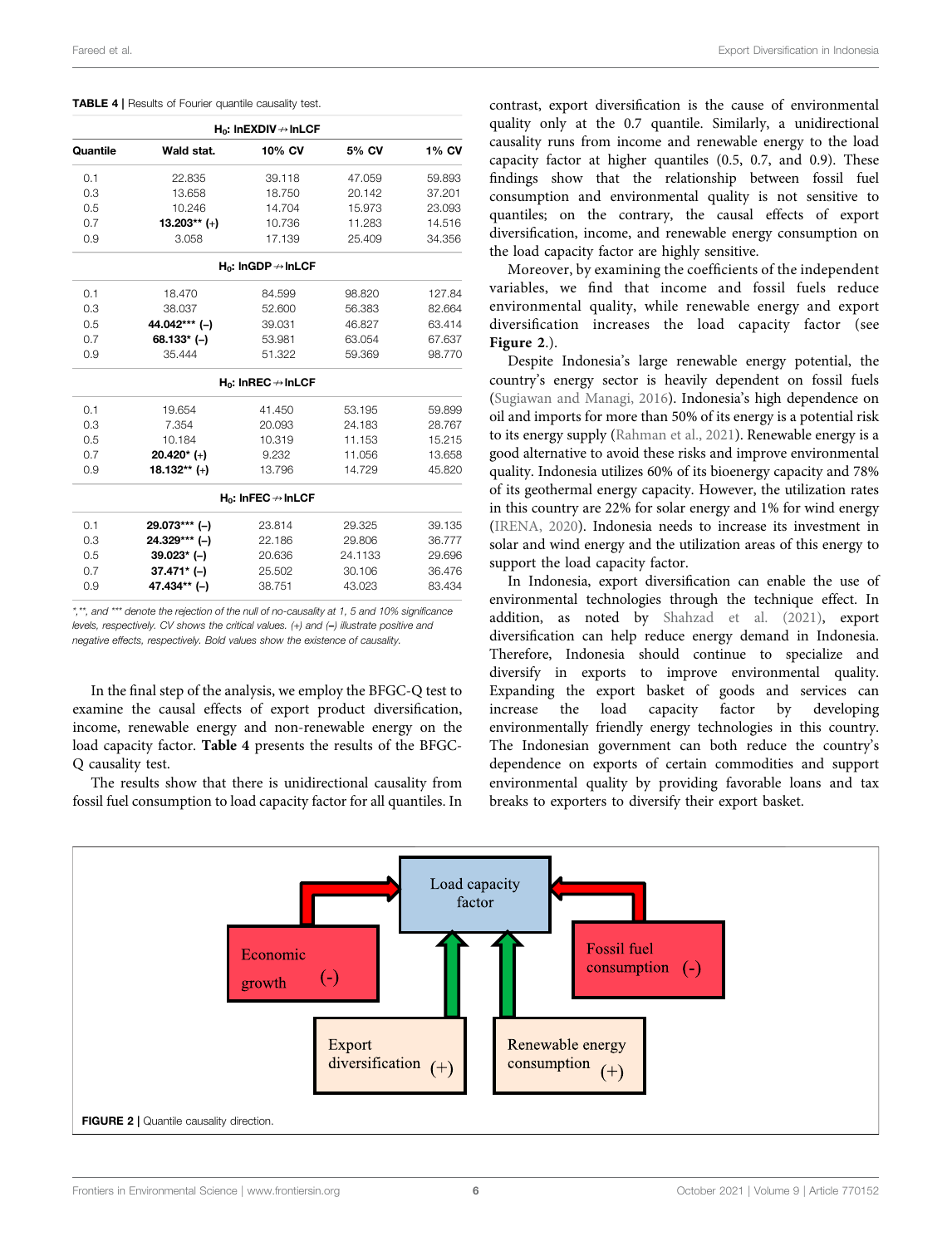<span id="page-6-0"></span>

|  |  |  |  | <b>TABLE 4</b>   Results of Fourier quantile causality test. |  |
|--|--|--|--|--------------------------------------------------------------|--|
|--|--|--|--|--------------------------------------------------------------|--|

| $H_0$ : InEXDIV $\rightarrow$ InLCF |                |                                   |         |        |  |  |  |
|-------------------------------------|----------------|-----------------------------------|---------|--------|--|--|--|
| Quantile                            | Wald stat.     | 10% CV                            | 5% CV   | 1% CV  |  |  |  |
| 0.1                                 | 22.835         | 39.118                            | 47.059  | 59.893 |  |  |  |
| 0.3                                 | 13.658         | 18.750                            | 20.142  | 37.201 |  |  |  |
| 0.5                                 | 10.246         | 14.704                            | 15.973  | 23.093 |  |  |  |
| 0.7                                 | $13.203**$ (+) | 10.736                            | 11.283  | 14.516 |  |  |  |
| 0.9                                 | 3.058          | 17.139                            | 25.409  | 34.356 |  |  |  |
|                                     |                | $H_0$ : InGDP $\rightarrow$ InLCF |         |        |  |  |  |
| 0.1                                 | 18.470         | 84.599                            | 98.820  | 127.84 |  |  |  |
| 0.3                                 | 38.037         | 52.600                            | 56.383  | 82.664 |  |  |  |
| 0.5                                 | 44.042*** (-)  | 39.031                            | 46.827  | 63.414 |  |  |  |
| 0.7                                 | 68.133* (-)    | 53.981                            | 63.054  | 67.637 |  |  |  |
| 0.9                                 | 35.444         | 51.322                            | 59.369  | 98.770 |  |  |  |
|                                     |                | $H_0$ : InREC $\rightarrow$ InLCF |         |        |  |  |  |
| 0.1                                 | 19.654         | 41.450                            | 53.195  | 59.899 |  |  |  |
| 0.3                                 | 7.354          | 20.093                            | 24.183  | 28.767 |  |  |  |
| 0.5                                 | 10.184         | 10.319                            | 11.153  | 15.215 |  |  |  |
| 0.7                                 | $20.420*$ (+)  | 9.232                             | 11.056  | 13.658 |  |  |  |
| 0.9                                 | $18.132**$ (+) | 13.796                            | 14.729  | 45.820 |  |  |  |
|                                     |                | $H_0$ : InFEC $\rightarrow$ InLCF |         |        |  |  |  |
| 0.1                                 | 29.073*** (-)  | 23.814                            | 29.325  | 39.135 |  |  |  |
| 0.3                                 | 24.329*** (-)  | 22.186                            | 29.806  | 36.777 |  |  |  |
| 0.5                                 | $39.023*$ (-)  | 20.636                            | 24.1133 | 29.696 |  |  |  |
| 0.7                                 | $37.471*$ (-)  | 25.502                            | 30.106  | 36.476 |  |  |  |
| 0.9                                 | 47.434** (-)   | 38.751                            | 43.023  | 83.434 |  |  |  |
|                                     |                |                                   |         |        |  |  |  |

\*,\*\*, and \*\*\* denote the rejection of the null of no-causality at 1, 5 and 10% significance levels, respectively. CV shows the critical values. (+) and (−) illustrate positive and negative effects, respectively. Bold values show the existence of causality.

In the final step of the analysis, we employ the BFGC-Q test to examine the causal effects of export product diversification, income, renewable energy and non-renewable energy on the load capacity factor. [Table 4](#page-6-0) presents the results of the BFGC-Q causality test.

The results show that there is unidirectional causality from fossil fuel consumption to load capacity factor for all quantiles. In contrast, export diversification is the cause of environmental quality only at the 0.7 quantile. Similarly, a unidirectional causality runs from income and renewable energy to the load capacity factor at higher quantiles (0.5, 0.7, and 0.9). These findings show that the relationship between fossil fuel consumption and environmental quality is not sensitive to quantiles; on the contrary, the causal effects of export diversification, income, and renewable energy consumption on the load capacity factor are highly sensitive.

Moreover, by examining the coefficients of the independent variables, we find that income and fossil fuels reduce environmental quality, while renewable energy and export diversification increases the load capacity factor (see [Figure 2](#page-6-1).).

Despite Indonesia's large renewable energy potential, the country's energy sector is heavily dependent on fossil fuels [\(Sugiawan and Managi, 2016\)](#page-8-38). Indonesia's high dependence on oil and imports for more than 50% of its energy is a potential risk to its energy supply [\(Rahman et al., 2021\)](#page-8-39). Renewable energy is a good alternative to avoid these risks and improve environmental quality. Indonesia utilizes 60% of its bioenergy capacity and 78% of its geothermal energy capacity. However, the utilization rates in this country are 22% for solar energy and 1% for wind energy [\(IRENA, 2020](#page-8-40)). Indonesia needs to increase its investment in solar and wind energy and the utilization areas of this energy to support the load capacity factor.

In Indonesia, export diversification can enable the use of environmental technologies through the technique effect. In addition, as noted by [Shahzad et al. \(2021\)](#page-8-26), export diversification can help reduce energy demand in Indonesia. Therefore, Indonesia should continue to specialize and diversify in exports to improve environmental quality. Expanding the export basket of goods and services can increase the load capacity factor by developing environmentally friendly energy technologies in this country. The Indonesian government can both reduce the country's dependence on exports of certain commodities and support environmental quality by providing favorable loans and tax breaks to exporters to diversify their export basket.

<span id="page-6-1"></span>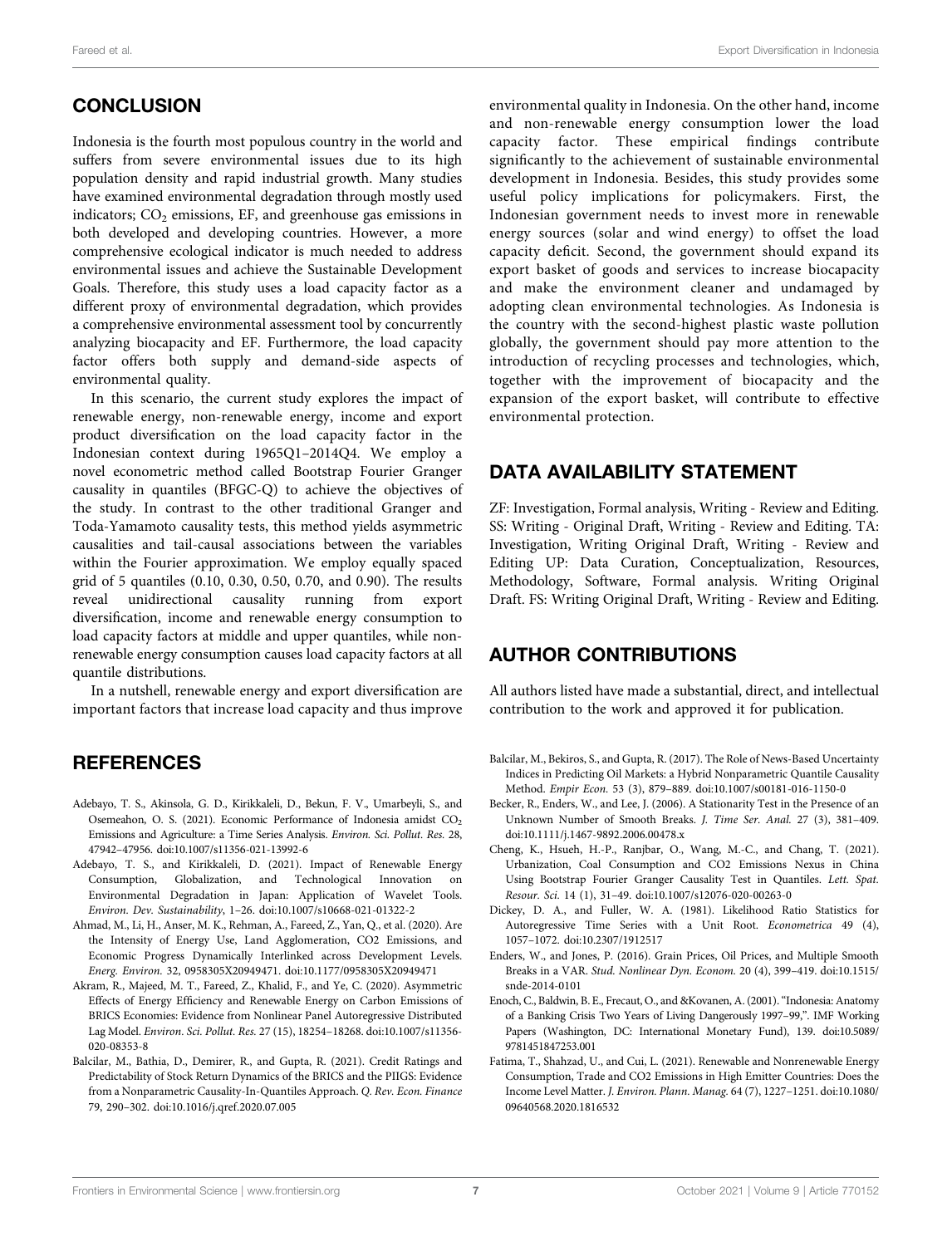Indonesia is the fourth most populous country in the world and suffers from severe environmental issues due to its high population density and rapid industrial growth. Many studies have examined environmental degradation through mostly used indicators;  $CO<sub>2</sub>$  emissions, EF, and greenhouse gas emissions in both developed and developing countries. However, a more comprehensive ecological indicator is much needed to address environmental issues and achieve the Sustainable Development Goals. Therefore, this study uses a load capacity factor as a different proxy of environmental degradation, which provides a comprehensive environmental assessment tool by concurrently analyzing biocapacity and EF. Furthermore, the load capacity factor offers both supply and demand-side aspects of environmental quality.

In this scenario, the current study explores the impact of renewable energy, non-renewable energy, income and export product diversification on the load capacity factor in the Indonesian context during 1965Q1–2014Q4. We employ a novel econometric method called Bootstrap Fourier Granger causality in quantiles (BFGC-Q) to achieve the objectives of the study. In contrast to the other traditional Granger and Toda-Yamamoto causality tests, this method yields asymmetric causalities and tail-causal associations between the variables within the Fourier approximation. We employ equally spaced grid of 5 quantiles (0.10, 0.30, 0.50, 0.70, and 0.90). The results reveal unidirectional causality running from export diversification, income and renewable energy consumption to load capacity factors at middle and upper quantiles, while nonrenewable energy consumption causes load capacity factors at all quantile distributions.

In a nutshell, renewable energy and export diversification are important factors that increase load capacity and thus improve

## **REFERENCES**

- <span id="page-7-3"></span>Adebayo, T. S., Akinsola, G. D., Kirikkaleli, D., Bekun, F. V., Umarbeyli, S., and Osemeahon, O. S. (2021). Economic Performance of Indonesia amidst CO<sub>2</sub> Emissions and Agriculture: a Time Series Analysis. Environ. Sci. Pollut. Res. 28, 47942–47956. doi:[10.1007/s11356-021-13992-6](https://doi.org/10.1007/s11356-021-13992-6)
- <span id="page-7-0"></span>Adebayo, T. S., and Kirikkaleli, D. (2021). Impact of Renewable Energy Consumption, Globalization, and Technological Innovation on Environmental Degradation in Japan: Application of Wavelet Tools. Environ. Dev. Sustainability, 1–26. doi[:10.1007/s10668-021-01322-2](https://doi.org/10.1007/s10668-021-01322-2)
- <span id="page-7-2"></span>Ahmad, M., Li, H., Anser, M. K., Rehman, A., Fareed, Z., Yan, Q., et al. (2020). Are the Intensity of Energy Use, Land Agglomeration, CO2 Emissions, and Economic Progress Dynamically Interlinked across Development Levels. Energ. Environ. 32, 0958305X20949471. doi[:10.1177/0958305X20949471](https://doi.org/10.1177/0958305X20949471)
- <span id="page-7-5"></span>Akram, R., Majeed, M. T., Fareed, Z., Khalid, F., and Ye, C. (2020). Asymmetric Effects of Energy Efficiency and Renewable Energy on Carbon Emissions of BRICS Economies: Evidence from Nonlinear Panel Autoregressive Distributed Lag Model. Environ. Sci. Pollut. Res. 27 (15), 18254–18268. doi[:10.1007/s11356-](https://doi.org/10.1007/s11356-020-08353-8) [020-08353-8](https://doi.org/10.1007/s11356-020-08353-8)
- <span id="page-7-7"></span>Balcilar, M., Bathia, D., Demirer, R., and Gupta, R. (2021). Credit Ratings and Predictability of Stock Return Dynamics of the BRICS and the PIIGS: Evidence from a Nonparametric Causality-In-Quantiles Approach. Q. Rev. Econ. Finance 79, 290–302. doi[:10.1016/j.qref.2020.07.005](https://doi.org/10.1016/j.qref.2020.07.005)

environmental quality in Indonesia. On the other hand, income and non-renewable energy consumption lower the load capacity factor. These empirical findings contribute significantly to the achievement of sustainable environmental development in Indonesia. Besides, this study provides some useful policy implications for policymakers. First, the Indonesian government needs to invest more in renewable energy sources (solar and wind energy) to offset the load capacity deficit. Second, the government should expand its export basket of goods and services to increase biocapacity and make the environment cleaner and undamaged by adopting clean environmental technologies. As Indonesia is the country with the second-highest plastic waste pollution globally, the government should pay more attention to the introduction of recycling processes and technologies, which, together with the improvement of biocapacity and the expansion of the export basket, will contribute to effective environmental protection.

## DATA AVAILABILITY STATEMENT

ZF: Investigation, Formal analysis, Writing - Review and Editing. SS: Writing - Original Draft, Writing - Review and Editing. TA: Investigation, Writing Original Draft, Writing - Review and Editing UP: Data Curation, Conceptualization, Resources, Methodology, Software, Formal analysis. Writing Original Draft. FS: Writing Original Draft, Writing - Review and Editing.

## AUTHOR CONTRIBUTIONS

All authors listed have made a substantial, direct, and intellectual contribution to the work and approved it for publication.

- <span id="page-7-6"></span>Balcilar, M., Bekiros, S., and Gupta, R. (2017). The Role of News-Based Uncertainty Indices in Predicting Oil Markets: a Hybrid Nonparametric Quantile Causality Method. Empir Econ. 53 (3), 879–889. doi[:10.1007/s00181-016-1150-0](https://doi.org/10.1007/s00181-016-1150-0)
- <span id="page-7-9"></span>Becker, R., Enders, W., and Lee, J. (2006). A Stationarity Test in the Presence of an Unknown Number of Smooth Breaks. J. Time Ser. Anal. 27 (3), 381–409. doi[:10.1111/j.1467-9892.2006.00478.x](https://doi.org/10.1111/j.1467-9892.2006.00478.x)
- <span id="page-7-1"></span>Cheng, K., Hsueh, H.-P., Ranjbar, O., Wang, M.-C., and Chang, T. (2021). Urbanization, Coal Consumption and CO2 Emissions Nexus in China Using Bootstrap Fourier Granger Causality Test in Quantiles. Lett. Spat. Resour. Sci. 14 (1), 31–49. doi:[10.1007/s12076-020-00263-0](https://doi.org/10.1007/s12076-020-00263-0)
- <span id="page-7-11"></span>Dickey, D. A., and Fuller, W. A. (1981). Likelihood Ratio Statistics for Autoregressive Time Series with a Unit Root. Econometrica 49 (4), 1057–1072. doi:[10.2307/1912517](https://doi.org/10.2307/1912517)
- <span id="page-7-8"></span>Enders, W., and Jones, P. (2016). Grain Prices, Oil Prices, and Multiple Smooth Breaks in a VAR. Stud. Nonlinear Dyn. Econom. 20 (4), 399–419. doi[:10.1515/](https://doi.org/10.1515/snde-2014-0101) [snde-2014-0101](https://doi.org/10.1515/snde-2014-0101)
- <span id="page-7-10"></span>Enoch, C., Baldwin, B. E., Frecaut, O., and &Kovanen, A. (2001)."Indonesia: Anatomy of a Banking Crisis Two Years of Living Dangerously 1997–99,". IMF Working Papers (Washington, DC: International Monetary Fund), 139. doi[:10.5089/](https://doi.org/10.5089/9781451847253.001) [9781451847253.001](https://doi.org/10.5089/9781451847253.001)
- <span id="page-7-4"></span>Fatima, T., Shahzad, U., and Cui, L. (2021). Renewable and Nonrenewable Energy Consumption, Trade and CO2 Emissions in High Emitter Countries: Does the Income Level Matter. J. Environ. Plann. Manag. 64 (7), 1227–1251. doi[:10.1080/](https://doi.org/10.1080/09640568.2020.1816532) [09640568.2020.1816532](https://doi.org/10.1080/09640568.2020.1816532)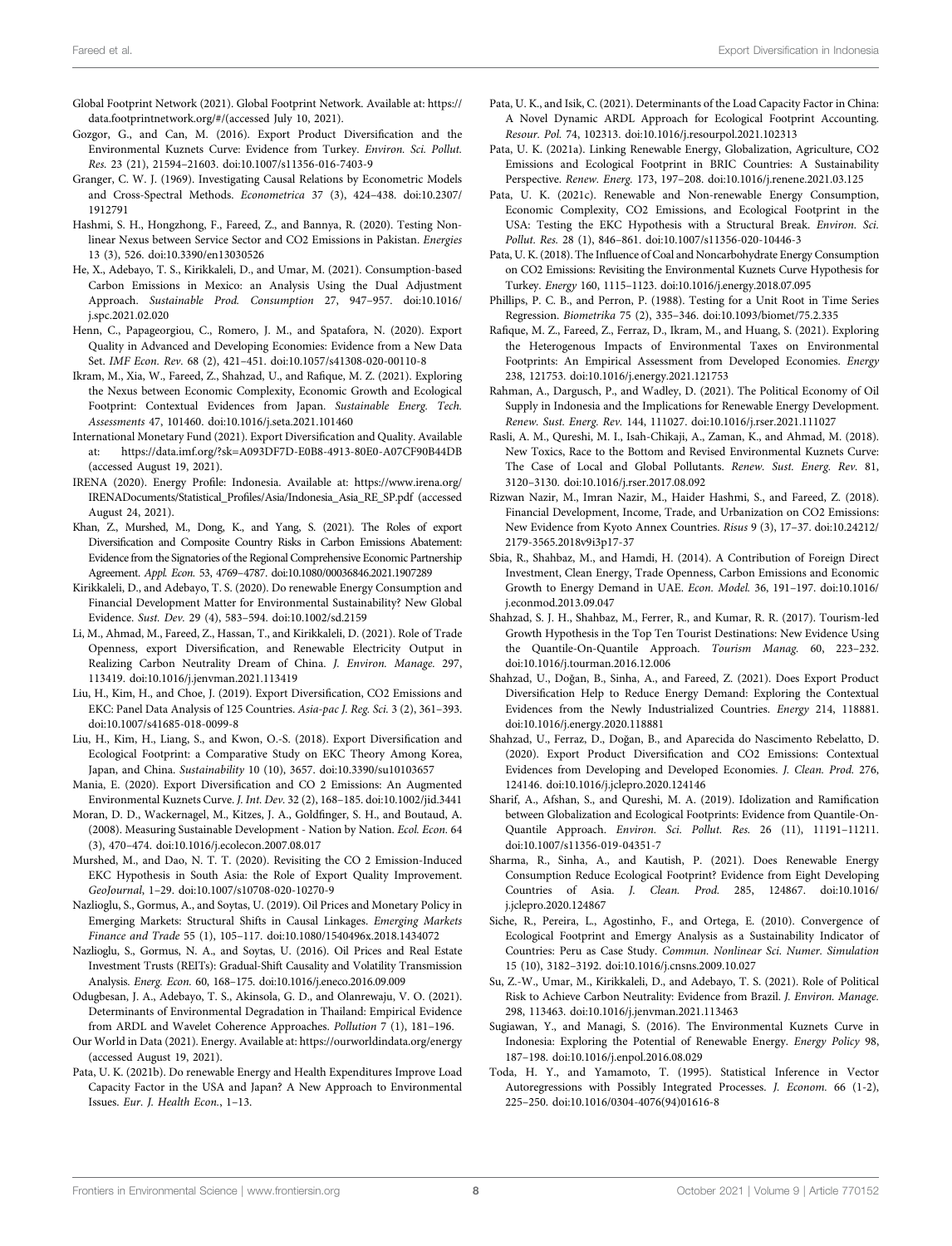- <span id="page-8-23"></span>Global Footprint Network (2021). Global Footprint Network. Available at: [https://](https://data.footprintnetwork.org/#/) [data.footprintnetwork.org/#/\(](https://data.footprintnetwork.org/#/)accessed July 10, 2021).
- <span id="page-8-13"></span>Gozgor, G., and Can, M. (2016). Export Product Diversification and the Environmental Kuznets Curve: Evidence from Turkey. Environ. Sci. Pollut. Res. 23 (21), 21594–21603. doi:[10.1007/s11356-016-7403-9](https://doi.org/10.1007/s11356-016-7403-9)
- <span id="page-8-33"></span>Granger, C. W. J. (1969). Investigating Causal Relations by Econometric Models and Cross-Spectral Methods. Econometrica 37 (3), 424–438. doi:[10.2307/](https://doi.org/10.2307/1912791) [1912791](https://doi.org/10.2307/1912791)
- <span id="page-8-18"></span>Hashmi, S. H., Hongzhong, F., Fareed, Z., and Bannya, R. (2020). Testing Nonlinear Nexus between Service Sector and CO2 Emissions in Pakistan. Energies 13 (3), 526. doi:[10.3390/en13030526](https://doi.org/10.3390/en13030526)
- <span id="page-8-1"></span>He, X., Adebayo, T. S., Kirikkaleli, D., and Umar, M. (2021). Consumption-based Carbon Emissions in Mexico: an Analysis Using the Dual Adjustment Approach. Sustainable Prod. Consumption 27, 947–957. doi:[10.1016/](https://doi.org/10.1016/j.spc.2021.02.020) [j.spc.2021.02.020](https://doi.org/10.1016/j.spc.2021.02.020)
- <span id="page-8-28"></span>Henn, C., Papageorgiou, C., Romero, J. M., and Spatafora, N. (2020). Export Quality in Advanced and Developing Economies: Evidence from a New Data Set. IMF Econ. Rev. 68 (2), 421–451. doi[:10.1057/s41308-020-00110-8](https://doi.org/10.1057/s41308-020-00110-8)
- <span id="page-8-15"></span>Ikram, M., Xia, W., Fareed, Z., Shahzad, U., and Rafique, M. Z. (2021). Exploring the Nexus between Economic Complexity, Economic Growth and Ecological Footprint: Contextual Evidences from Japan. Sustainable Energ. Tech. Assessments 47, 101460. doi[:10.1016/j.seta.2021.101460](https://doi.org/10.1016/j.seta.2021.101460)
- <span id="page-8-29"></span>International Monetary Fund (2021). Export Diversification and Quality. Available at: [https://data.imf.org/?sk](https://data.imf.org/?sk=A093DF7D-E0B8-4913-80E0-A07CF90B44DB)=[A093DF7D-E0B8-4913-80E0-A07CF90B44DB](https://data.imf.org/?sk=A093DF7D-E0B8-4913-80E0-A07CF90B44DB) (accessed August 19, 2021).
- <span id="page-8-40"></span>IRENA (2020). Energy Profile: Indonesia. Available at: [https://www.irena.org/](https://www.irena.org/IRENADocuments/Statistical_Profiles/Asia/Indonesia_Asia_RE_SP.pdf) IRENADocuments/Statistical\_Profi[les/Asia/Indonesia\\_Asia\\_RE\\_SP.pdf](https://www.irena.org/IRENADocuments/Statistical_Profiles/Asia/Indonesia_Asia_RE_SP.pdf) (accessed August 24, 2021).
- <span id="page-8-24"></span>Khan, Z., Murshed, M., Dong, K., and Yang, S. (2021). The Roles of export Diversification and Composite Country Risks in Carbon Emissions Abatement: Evidence from the Signatories of the Regional Comprehensive Economic Partnership Agreement. Appl. Econ. 53, 4769–4787. doi[:10.1080/00036846.2021.1907289](https://doi.org/10.1080/00036846.2021.1907289)
- <span id="page-8-7"></span>Kirikkaleli, D., and Adebayo, T. S. (2020). Do renewable Energy Consumption and Financial Development Matter for Environmental Sustainability? New Global Evidence. Sust. Dev. 29 (4), 583–594. doi:[10.1002/sd.2159](https://doi.org/10.1002/sd.2159)
- <span id="page-8-14"></span>Li, M., Ahmad, M., Fareed, Z., Hassan, T., and Kirikkaleli, D. (2021). Role of Trade Openness, export Diversification, and Renewable Electricity Output in Realizing Carbon Neutrality Dream of China. J. Environ. Manage. 297, 113419. doi[:10.1016/j.jenvman.2021.113419](https://doi.org/10.1016/j.jenvman.2021.113419)
- <span id="page-8-22"></span>Liu, H., Kim, H., and Choe, J. (2019). Export Diversification, CO2 Emissions and EKC: Panel Data Analysis of 125 Countries. Asia-pac J. Reg. Sci. 3 (2), 361–393. doi:[10.1007/s41685-018-0099-8](https://doi.org/10.1007/s41685-018-0099-8)
- <span id="page-8-5"></span>Liu, H., Kim, H., Liang, S., and Kwon, O.-S. (2018). Export Diversification and Ecological Footprint: a Comparative Study on EKC Theory Among Korea, Japan, and China. Sustainability 10 (10), 3657. doi[:10.3390/su10103657](https://doi.org/10.3390/su10103657)
- <span id="page-8-4"></span>Mania, E. (2020). Export Diversification and CO 2 Emissions: An Augmented Environmental Kuznets Curve. J. Int. Dev. 32 (2), 168–185. doi:[10.1002/jid.3441](https://doi.org/10.1002/jid.3441)
- <span id="page-8-9"></span>Moran, D. D., Wackernagel, M., Kitzes, J. A., Goldfinger, S. H., and Boutaud, A. (2008). Measuring Sustainable Development - Nation by Nation. Ecol. Econ. 64 (3), 470–474. doi:[10.1016/j.ecolecon.2007.08.017](https://doi.org/10.1016/j.ecolecon.2007.08.017)
- <span id="page-8-27"></span>Murshed, M., and Dao, N. T. T. (2020). Revisiting the CO 2 Emission-Induced EKC Hypothesis in South Asia: the Role of Export Quality Improvement. GeoJournal, 1–29. doi:[10.1007/s10708-020-10270-9](https://doi.org/10.1007/s10708-020-10270-9)
- <span id="page-8-36"></span>Nazlioglu, S., Gormus, A., and Soytas, U. (2019). Oil Prices and Monetary Policy in Emerging Markets: Structural Shifts in Causal Linkages. Emerging Markets Finance and Trade 55 (1), 105–117. doi[:10.1080/1540496x.2018.1434072](https://doi.org/10.1080/1540496x.2018.1434072)
- <span id="page-8-35"></span>Nazlioglu, S., Gormus, N. A., and Soytas, U. (2016). Oil Prices and Real Estate Investment Trusts (REITs): Gradual-Shift Causality and Volatility Transmission Analysis. Energ. Econ. 60, 168–175. doi[:10.1016/j.eneco.2016.09.009](https://doi.org/10.1016/j.eneco.2016.09.009)
- <span id="page-8-16"></span>Odugbesan, J. A., Adebayo, T. S., Akinsola, G. D., and Olanrewaju, V. O. (2021). Determinants of Environmental Degradation in Thailand: Empirical Evidence from ARDL and Wavelet Coherence Approaches. Pollution 7 (1), 181–196.
- <span id="page-8-30"></span>Our World in Data (2021). Energy. Available at:<https://ourworldindata.org/energy> (accessed August 19, 2021).
- <span id="page-8-11"></span>Pata, U. K. (2021b). Do renewable Energy and Health Expenditures Improve Load Capacity Factor in the USA and Japan? A New Approach to Environmental Issues. Eur. J. Health Econ., 1–13.
- <span id="page-8-12"></span>Pata, U. K., and Isik, C. (2021). Determinants of the Load Capacity Factor in China: A Novel Dynamic ARDL Approach for Ecological Footprint Accounting. Resour. Pol. 74, 102313. doi[:10.1016/j.resourpol.2021.102313](https://doi.org/10.1016/j.resourpol.2021.102313)
- <span id="page-8-6"></span>Pata, U. K. (2021a). Linking Renewable Energy, Globalization, Agriculture, CO2 Emissions and Ecological Footprint in BRIC Countries: A Sustainability Perspective. Renew. Energ. 173, 197–208. doi[:10.1016/j.renene.2021.03.125](https://doi.org/10.1016/j.renene.2021.03.125)
- <span id="page-8-20"></span>Pata, U. K. (2021c). Renewable and Non-renewable Energy Consumption, Economic Complexity, CO2 Emissions, and Ecological Footprint in the USA: Testing the EKC Hypothesis with a Structural Break. Environ. Sci. Pollut. Res. 28 (1), 846–861. doi[:10.1007/s11356-020-10446-3](https://doi.org/10.1007/s11356-020-10446-3)
- <span id="page-8-2"></span>Pata, U. K. (2018). The Influence of Coal and Noncarbohydrate Energy Consumption on CO2 Emissions: Revisiting the Environmental Kuznets Curve Hypothesis for Turkey. Energy 160, 1115–1123. doi[:10.1016/j.energy.2018.07.095](https://doi.org/10.1016/j.energy.2018.07.095)
- <span id="page-8-37"></span>Phillips, P. C. B., and Perron, P. (1988). Testing for a Unit Root in Time Series Regression. Biometrika 75 (2), 335–346. doi:[10.1093/biomet/75.2.335](https://doi.org/10.1093/biomet/75.2.335)
- <span id="page-8-21"></span>Rafique, M. Z., Fareed, Z., Ferraz, D., Ikram, M., and Huang, S. (2021). Exploring the Heterogenous Impacts of Environmental Taxes on Environmental Footprints: An Empirical Assessment from Developed Economies. Energy 238, 121753. doi:[10.1016/j.energy.2021.121753](https://doi.org/10.1016/j.energy.2021.121753)
- <span id="page-8-39"></span>Rahman, A., Dargusch, P., and Wadley, D. (2021). The Political Economy of Oil Supply in Indonesia and the Implications for Renewable Energy Development. Renew. Sust. Energ. Rev. 144, 111027. doi:[10.1016/j.rser.2021.111027](https://doi.org/10.1016/j.rser.2021.111027)
- <span id="page-8-3"></span>Rasli, A. M., Qureshi, M. I., Isah-Chikaji, A., Zaman, K., and Ahmad, M. (2018). New Toxics, Race to the Bottom and Revised Environmental Kuznets Curve: The Case of Local and Global Pollutants. Renew. Sust. Energ. Rev. 81, 3120–3130. doi:[10.1016/j.rser.2017.08.092](https://doi.org/10.1016/j.rser.2017.08.092)
- <span id="page-8-17"></span>Rizwan Nazir, M., Imran Nazir, M., Haider Hashmi, S., and Fareed, Z. (2018). Financial Development, Income, Trade, and Urbanization on CO2 Emissions: New Evidence from Kyoto Annex Countries. Risus 9 (3), 17–37. doi:[10.24212/](https://doi.org/10.24212/2179-3565.2018v9i3p17-37) [2179-3565.2018v9i3p17-37](https://doi.org/10.24212/2179-3565.2018v9i3p17-37)
- <span id="page-8-31"></span>Sbia, R., Shahbaz, M., and Hamdi, H. (2014). A Contribution of Foreign Direct Investment, Clean Energy, Trade Openness, Carbon Emissions and Economic Growth to Energy Demand in UAE. Econ. Model. 36, 191–197. doi[:10.1016/](https://doi.org/10.1016/j.econmod.2013.09.047) [j.econmod.2013.09.047](https://doi.org/10.1016/j.econmod.2013.09.047)
- <span id="page-8-32"></span>Shahzad, S. J. H., Shahbaz, M., Ferrer, R., and Kumar, R. R. (2017). Tourism-led Growth Hypothesis in the Top Ten Tourist Destinations: New Evidence Using the Quantile-On-Quantile Approach. Tourism Manag. 60, 223–232. doi[:10.1016/j.tourman.2016.12.006](https://doi.org/10.1016/j.tourman.2016.12.006)
- <span id="page-8-26"></span>Shahzad, U., Doğan, B., Sinha, A., and Fareed, Z. (2021). Does Export Product Diversification Help to Reduce Energy Demand: Exploring the Contextual Evidences from the Newly Industrialized Countries. Energy 214, 118881. doi[:10.1016/j.energy.2020.118881](https://doi.org/10.1016/j.energy.2020.118881)
- <span id="page-8-25"></span>Shahzad, U., Ferraz, D., Doğan, B., and Aparecida do Nascimento Rebelatto, D. (2020). Export Product Diversification and CO2 Emissions: Contextual Evidences from Developing and Developed Economies. J. Clean. Prod. 276, 124146. doi:[10.1016/j.jclepro.2020.124146](https://doi.org/10.1016/j.jclepro.2020.124146)
- <span id="page-8-8"></span>Sharif, A., Afshan, S., and Qureshi, M. A. (2019). Idolization and Ramification between Globalization and Ecological Footprints: Evidence from Quantile-On-Quantile Approach. Environ. Sci. Pollut. Res. 26 (11), 11191–11211. doi[:10.1007/s11356-019-04351-7](https://doi.org/10.1007/s11356-019-04351-7)
- <span id="page-8-19"></span>Sharma, R., Sinha, A., and Kautish, P. (2021). Does Renewable Energy Consumption Reduce Ecological Footprint? Evidence from Eight Developing Countries of Asia. J. Clean. Prod. 285, 124867. doi[:10.1016/](https://doi.org/10.1016/j.jclepro.2020.124867) [j.jclepro.2020.124867](https://doi.org/10.1016/j.jclepro.2020.124867)
- <span id="page-8-10"></span>Siche, R., Pereira, L., Agostinho, F., and Ortega, E. (2010). Convergence of Ecological Footprint and Emergy Analysis as a Sustainability Indicator of Countries: Peru as Case Study. Commun. Nonlinear Sci. Numer. Simulation 15 (10), 3182–3192. doi[:10.1016/j.cnsns.2009.10.027](https://doi.org/10.1016/j.cnsns.2009.10.027)
- <span id="page-8-0"></span>Su, Z.-W., Umar, M., Kirikkaleli, D., and Adebayo, T. S. (2021). Role of Political Risk to Achieve Carbon Neutrality: Evidence from Brazil. J. Environ. Manage. 298, 113463. doi:[10.1016/j.jenvman.2021.113463](https://doi.org/10.1016/j.jenvman.2021.113463)
- <span id="page-8-38"></span>Sugiawan, Y., and Managi, S. (2016). The Environmental Kuznets Curve in Indonesia: Exploring the Potential of Renewable Energy. Energy Policy 98, 187–198. doi:[10.1016/j.enpol.2016.08.029](https://doi.org/10.1016/j.enpol.2016.08.029)
- <span id="page-8-34"></span>Toda, H. Y., and Yamamoto, T. (1995). Statistical Inference in Vector Autoregressions with Possibly Integrated Processes. J. Econom. 66 (1-2), 225–250. doi:[10.1016/0304-4076\(94\)01616-8](https://doi.org/10.1016/0304-4076(94)01616-8)